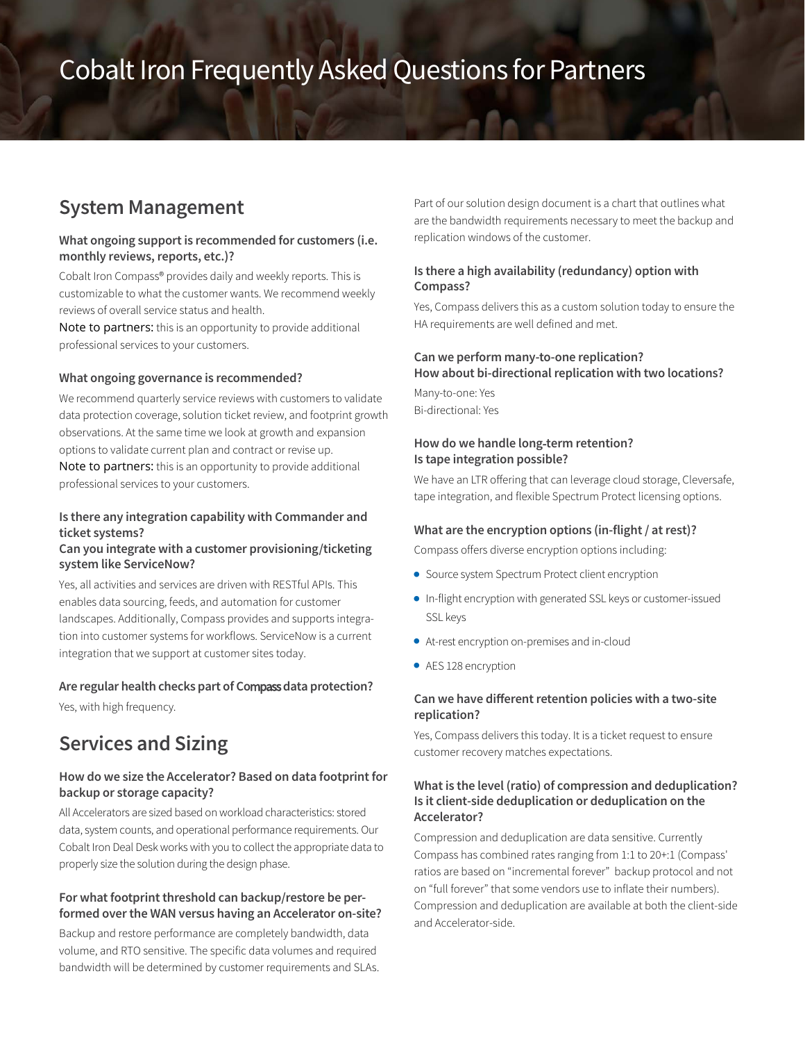# Cobalt Iron Frequently Asked Questions for Partners

# **System Management**

### **What ongoing support is recommended for customers (i.e.** monthly reviews, reports, etc.)?

Cobalt Iron Compass® provides daily and weekly reports. This is customizable to what the customer wants. We recommend weekly reviews of overall service status and health.

Note to partners: this is an opportunity to provide additional professional services to your customers.

#### **What ongoing governance is recommended?**

We recommend quarterly service reviews with customers to validate data protection coverage, solution ticket review, and footprint growth observations. At the same time we look at growth and expansion options to validate current plan and contract or revise up. Note to partners: this is an opportunity to provide additional professional services to your customers.

# **Is there any integration capability with Commander and ticket systems?**

### **Can you integrate with a customer provisioning/ticketing system like ServiceNow?**

Yes, all activities and services are driven with RESTful APIs. This enables data sourcing, feeds, and automation for customer landscapes. Additionally, Compass provides and supports integration into customer systems for workflows. ServiceNow is a current integration that we support at customer sites today.

#### **Are regular health checks part of Co**mpass**data protection?**

Yes, with high frequency.

# **Services and Sizing**

# **How do we size the Accelerator? Based on data footprint for backup or storage capacity?**

All Accelerators are sized based on workload characteristics: stored data, system counts, and operational performance requirements. Our Cobalt Iron Deal Deskworks with you to collect the appropriate data to properly size the solution during the design phase.

# **For what footprint threshold can backup/restore be performed over the WAN versus having an Accelerator on-site?**

Backup and restore performance are completely bandwidth, data volume, and RTO sensitive. The specific data volumes and required bandwidth will be determined by customer requirements and SLAs. Part of our solution design document is a chart that outlines what are the bandwidth requirements necessary to meet the backup and replication windows of the customer.

# **Is there a high availability (redundancy) option with Compass?**

Yes, Compass delivers this as a custom solution today to ensure the HA requirements are well defined and met.

# **Can we perform many-to-one replication? How about bi-directional replication with two locations?**

Many-to-one: Yes Bi-directional: Yes

# **How do we handle long**-**term retention? Is tape integration possible?**

We have an LTR offering that can leverage cloud storage, Cleversafe, tape integration, and flexible Spectrum Protect licensing options.

### **What are the encryption options (in-flight / at rest)?**

Compass offers diverse encryption options including:

- Source system Spectrum Protect client encryption
- In-flight encryption with generated SSL keys or customer-issued SSL keys
- At-rest encryption on-premises and in-cloud
- AES 128 encryption

### **Can we have different retention policies with a two-site replication?**

Yes, Compass delivers this today. It is a ticket request to ensure customer recovery matches expectations.

# **What is the level (ratio) of compression and deduplication? Is it client-side deduplication or deduplication on the Accelerator?**

Compression and deduplication are data sensitive. Currently Compass has combined rates ranging from 1:1 to 20+:1 (Compass' ratios are based on "incremental forever" backup protocol and not on "full forever" that some vendors use to inflate their numbers). Compression and deduplication are available at both the client-side and Accelerator-side.